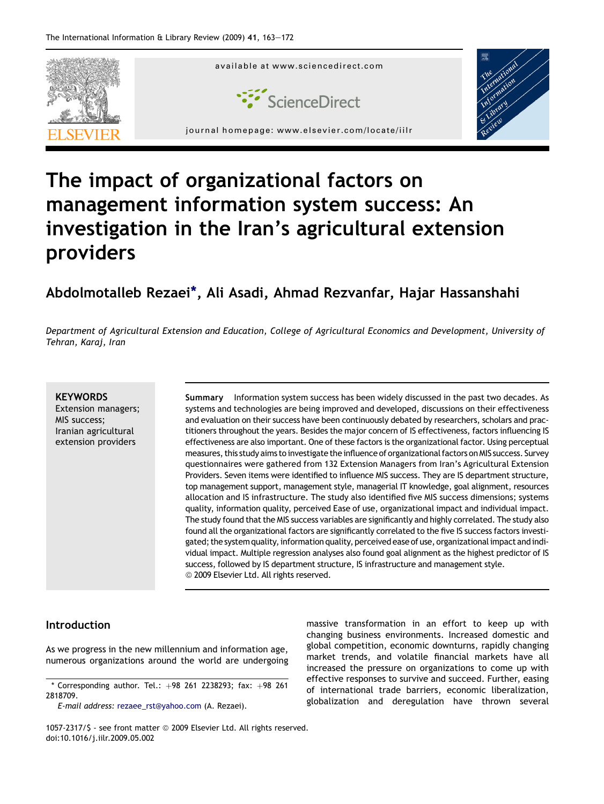

# The impact of organizational factors on management information system success: An investigation in the Iran's agricultural extension providers

### Abdolmotalleb Rezaei\*, Ali Asadi, Ahmad Rezvanfar, Hajar Hassanshahi

Department of Agricultural Extension and Education, College of Agricultural Economics and Development, University of Tehran, Karaj, Iran

#### **KEYWORDS**

Extension managers; MIS success; Iranian agricultural extension providers

Summary Information system success has been widely discussed in the past two decades. As systems and technologies are being improved and developed, discussions on their effectiveness and evaluation on their success have been continuously debated by researchers, scholars and practitioners throughout the years. Besides the major concern of IS effectiveness, factors influencing IS effectiveness are also important. One of these factors is the organizational factor. Using perceptual measures, this study aims to investigate the influence of organizational factors on MIS success. Survey questionnaires were gathered from 132 Extension Managers from Iran's Agricultural Extension Providers. Seven items were identified to influence MIS success. They are IS department structure, top management support, management style, managerial IT knowledge, goal alignment, resources allocation and IS infrastructure. The study also identified five MIS success dimensions; systems quality, information quality, perceived Ease of use, organizational impact and individual impact. The study found that the MIS success variables are significantly and highly correlated. The study also found all the organizational factors are significantly correlated to the five IS success factors investigated; the system quality, information quality, perceived ease of use, organizational impact and individual impact. Multiple regression analyses also found goal alignment as the highest predictor of IS success, followed by IS department structure, IS infrastructure and management style. <sup>©</sup> 2009 Elsevier Ltd. All rights reserved.

#### Introduction

As we progress in the new millennium and information age, numerous organizations around the world are undergoing

E-mail address: [rezaee\\_rst@yahoo.com](mailto:rezaee_rst@yahoo.com) (A. Rezaei).

massive transformation in an effort to keep up with changing business environments. Increased domestic and global competition, economic downturns, rapidly changing market trends, and volatile financial markets have all increased the pressure on organizations to come up with effective responses to survive and succeed. Further, easing of international trade barriers, economic liberalization, globalization and deregulation have thrown several

1057-2317/\$ - see front matter @ 2009 Elsevier Ltd. All rights reserved. doi:10.1016/j.iilr.2009.05.002

<sup>\*</sup> Corresponding author. Tel.:  $+98$  261 2238293; fax:  $+98$  261 2818709.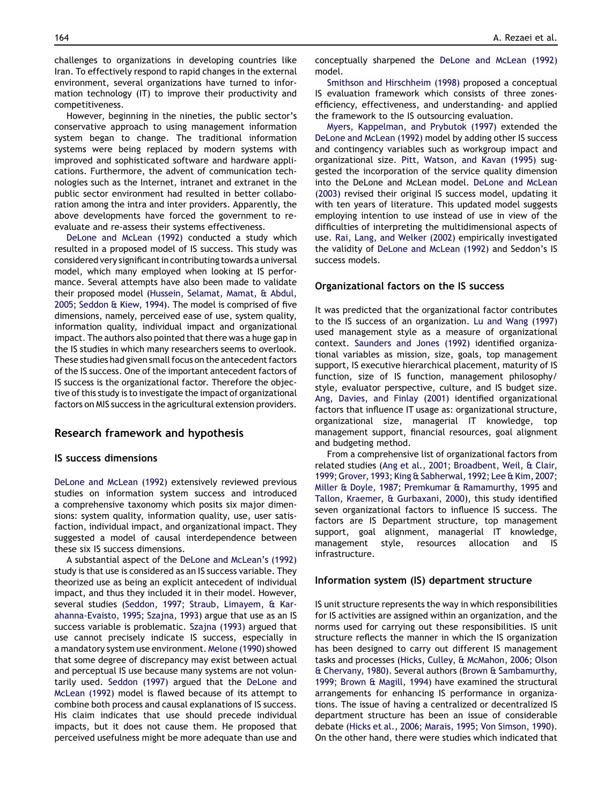challenges to organizations in developing countries like Iran. To effectively respond to rapid changes in the external environment, several organizations have turned to information technology (IT) to improve their productivity and competitiveness.

However, beginning in the nineties, the public sector's conservative approach to using management information system began to change. The traditional information systems were being replaced by modern systems with improved and sophisticated software and hardware applications. Furthermore, the advent of communication technologies such as the Internet, intranet and extranet in the public sector environment had resulted in better collaboration among the intra and inter providers. Apparently, the above developments have forced the government to reevaluate and re-assess their systems effectiveness.

[DeLone and McLean \(1992\)](#page--1-0) conducted a study which resulted in a proposed model of IS success. This study was considered very significant in contributing towards a universal model, which many employed when looking at IS performance. Several attempts have also been made to validate their proposed model ([Hussein, Selamat, Mamat, & Abdul,](#page--1-0) [2005](#page--1-0); [Seddon & Kiew, 1994](#page--1-0)). The model is comprised of five dimensions, namely, perceived ease of use, system quality, information quality, individual impact and organizational impact. The authors also pointed that there was a huge gap in the IS studies in which many researchers seems to overlook. These studies had given small focus on the antecedent factors of the IS success. One of the important antecedent factors of IS success is the organizational factor. Therefore the objective of this study is to investigate the impact of organizational factors on MIS success in the agricultural extension providers.

#### Research framework and hypothesis

#### IS success dimensions

[DeLone and McLean \(1992\)](#page--1-0) extensively reviewed previous studies on information system success and introduced a comprehensive taxonomy which posits six major dimensions: system quality, information quality, use, user satisfaction, individual impact, and organizational impact. They suggested a model of causal interdependence between these six IS success dimensions.

A substantial aspect of the [DeLone and McLean's \(1992\)](#page--1-0) study is that use is considered as an IS success variable. They theorized use as being an explicit antecedent of individual impact, and thus they included it in their model. However, several studies [\(Seddon, 1997; Straub, Limayem, & Kar](#page--1-0)[ahanna-Evaisto, 1995; Szajna, 1993](#page--1-0)) argue that use as an IS success variable is problematic. [Szajna \(1993\)](#page--1-0) argued that use cannot precisely indicate IS success, especially in a mandatory system use environment. [Melone \(1990\)](#page--1-0) showed that some degree of discrepancy may exist between actual and perceptual IS use because many systems are not voluntarily used. [Seddon \(1997\)](#page--1-0) argued that the [DeLone and](#page--1-0) [McLean \(1992\)](#page--1-0) model is flawed because of its attempt to combine both process and causal explanations of IS success. His claim indicates that use should precede individual impacts, but it does not cause them. He proposed that perceived usefulness might be more adequate than use and conceptually sharpened the [DeLone and McLean \(1992\)](#page--1-0) model.

[Smithson and Hirschheim \(1998\)](#page--1-0) proposed a conceptual IS evaluation framework which consists of three zonesefficiency, effectiveness, and understanding- and applied the framework to the IS outsourcing evaluation.

[Myers, Kappelman, and Prybutok \(1997\)](#page--1-0) extended the [DeLone and McLean \(1992\)](#page--1-0) model by adding other IS success and contingency variables such as workgroup impact and organizational size. [Pitt, Watson, and Kavan \(1995\)](#page--1-0) suggested the incorporation of the service quality dimension into the DeLone and McLean model. [DeLone and McLean](#page--1-0) [\(2003\)](#page--1-0) revised their original IS success model, updating it with ten years of literature. This updated model suggests employing intention to use instead of use in view of the difficulties of interpreting the multidimensional aspects of use. [Rai, Lang, and Welker \(2002\)](#page--1-0) empirically investigated the validity of [DeLone and McLean \(1992\)](#page--1-0) and Seddon's IS success models.

#### Organizational factors on the IS success

It was predicted that the organizational factor contributes to the IS success of an organization. [Lu and Wang \(1997\)](#page--1-0) used management style as a measure of organizational context. [Saunders and Jones \(1992\)](#page--1-0) identified organizational variables as mission, size, goals, top management support, IS executive hierarchical placement, maturity of IS function, size of IS function, management philosophy/ style, evaluator perspective, culture, and IS budget size. [Ang, Davies, and Finlay \(2001\)](#page--1-0) identified organizational factors that influence IT usage as: organizational structure, organizational size, managerial IT knowledge, top management support, financial resources, goal alignment and budgeting method.

From a comprehensive list of organizational factors from related studies [\(Ang et al., 2001; Broadbent, Weil, & Clair,](#page--1-0) [1999; Grover, 1993; King & Sabherwal, 1992; Lee & Kim, 2007;](#page--1-0) [Miller & Doyle, 1987; Premkumar & Ramamurthy, 1995](#page--1-0) and [Tallon, Kraemer, & Gurbaxani, 2000](#page--1-0)), this study identified seven organizational factors to influence IS success. The factors are IS Department structure, top management support, goal alignment, managerial IT knowledge, management style, resources allocation and IS infrastructure.

#### Information system (IS) department structure

IS unit structure represents the way in which responsibilities for IS activities are assigned within an organization, and the norms used for carrying out these responsibilities. IS unit structure reflects the manner in which the IS organization has been designed to carry out different IS management tasks and processes [\(Hicks, Culley, & McMahon, 2006; Olson](#page--1-0) [& Chervany, 1980](#page--1-0)). Several authors [\(Brown & Sambamurthy,](#page--1-0) [1999; Brown & Magill, 1994\)](#page--1-0) have examined the structural arrangements for enhancing IS performance in organizations. The issue of having a centralized or decentralized IS department structure has been an issue of considerable debate ([Hicks et al., 2006; Marais, 1995; Von Simson, 1990](#page--1-0)). On the other hand, there were studies which indicated that